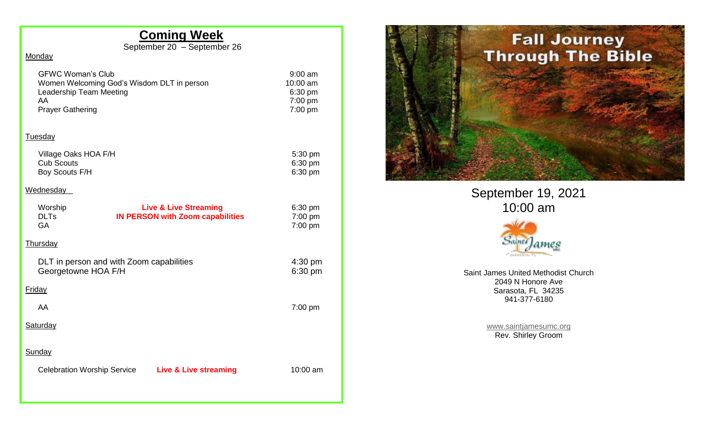## **Coming Week**

September 20 – September 26

#### **Monday**

| .9:00 am          |
|-------------------|
| 10:00 am          |
| $6:30 \text{ pm}$ |
| 7:00 pm           |
| $7:00 \text{ pm}$ |
|                   |

#### **Tuesday**

| Village Oaks HOA F/H | $5:30$ pm         |
|----------------------|-------------------|
| Cub Scouts           | $6:30 \text{ pm}$ |
| Boy Scouts F/H       | $6:30 \text{ pm}$ |

#### **Wednesday**

| Worship<br><b>DLTs</b><br>GA                                    |  | <b>Live &amp; Live Streaming</b><br><b>IN PERSON with Zoom capabilities</b> |  | $6:30$ pm<br>$7:00$ pm<br>$7:00$ pm |
|-----------------------------------------------------------------|--|-----------------------------------------------------------------------------|--|-------------------------------------|
| <b>Thursday</b>                                                 |  |                                                                             |  |                                     |
| DLT in person and with Zoom capabilities<br>Georgetowne HOA F/H |  |                                                                             |  |                                     |
| Friday                                                          |  |                                                                             |  |                                     |
| AA                                                              |  |                                                                             |  | $7:00$ pm                           |
| Saturday                                                        |  |                                                                             |  |                                     |
| Sunday                                                          |  |                                                                             |  |                                     |
| <b>Celebration Worship Service</b>                              |  | <b>Live &amp; Live streaming</b>                                            |  | $10:00$ am                          |
|                                                                 |  |                                                                             |  |                                     |



September 19, 2021 10:00 am



Saint James United Methodist Church 2049 N Honore Ave Sarasota, FL 34235 941-377-6180

> [www.saintjamesumc.org](http://www.saintjamesumc.org/) Rev. Shirley Groom